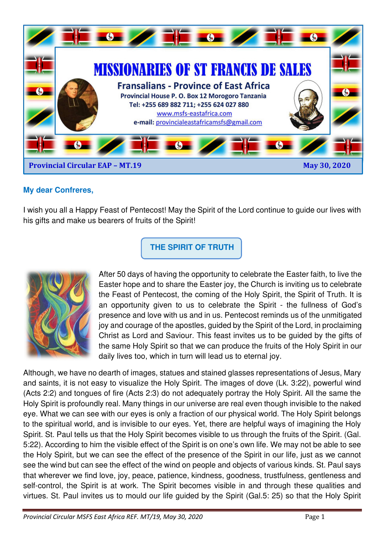

## **My dear Confreres,**

I wish you all a Happy Feast of Pentecost! May the Spirit of the Lord continue to guide our lives with his gifts and make us bearers of fruits of the Spirit!

**THE SPIRIT OF TRUTH** 



After 50 days of having the opportunity to celebrate the Easter faith, to live the Easter hope and to share the Easter joy, the Church is inviting us to celebrate the Feast of Pentecost, the coming of the Holy Spirit, the Spirit of Truth. It is an opportunity given to us to celebrate the Spirit - the fullness of God's presence and love with us and in us. Pentecost reminds us of the unmitigated joy and courage of the apostles, guided by the Spirit of the Lord, in proclaiming Christ as Lord and Saviour. This feast invites us to be guided by the gifts of the same Holy Spirit so that we can produce the fruits of the Holy Spirit in our daily lives too, which in turn will lead us to eternal joy.

Although, we have no dearth of images, statues and stained glasses representations of Jesus, Mary and saints, it is not easy to visualize the Holy Spirit. The images of dove (Lk. 3:22), powerful wind (Acts 2:2) and tongues of fire (Acts 2:3) do not adequately portray the Holy Spirit. All the same the Holy Spirit is profoundly real. Many things in our universe are real even though invisible to the naked eye. What we can see with our eyes is only a fraction of our physical world. The Holy Spirit belongs to the spiritual world, and is invisible to our eyes. Yet, there are helpful ways of imagining the Holy Spirit. St. Paul tells us that the Holy Spirit becomes visible to us through the fruits of the Spirit. (Gal. 5:22). According to him the visible effect of the Spirit is on one's own life. We may not be able to see the Holy Spirit, but we can see the effect of the presence of the Spirit in our life, just as we cannot see the wind but can see the effect of the wind on people and objects of various kinds. St. Paul says that wherever we find love, joy, peace, patience, kindness, goodness, trustfulness, gentleness and self-control, the Spirit is at work. The Spirit becomes visible in and through these qualities and virtues. St. Paul invites us to mould our life guided by the Spirit (Gal.5: 25) so that the Holy Spirit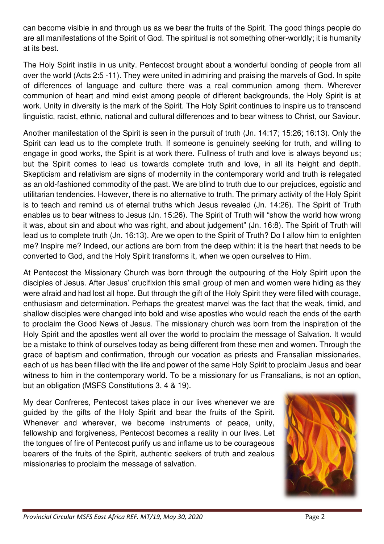can become visible in and through us as we bear the fruits of the Spirit. The good things people do are all manifestations of the Spirit of God. The spiritual is not something other-worldly; it is humanity at its best.

The Holy Spirit instils in us unity. Pentecost brought about a wonderful bonding of people from all over the world (Acts 2:5 -11). They were united in admiring and praising the marvels of God. In spite of differences of language and culture there was a real communion among them. Wherever communion of heart and mind exist among people of different backgrounds, the Holy Spirit is at work. Unity in diversity is the mark of the Spirit. The Holy Spirit continues to inspire us to transcend linguistic, racist, ethnic, national and cultural differences and to bear witness to Christ, our Saviour.

Another manifestation of the Spirit is seen in the pursuit of truth (Jn. 14:17; 15:26; 16:13). Only the Spirit can lead us to the complete truth. If someone is genuinely seeking for truth, and willing to engage in good works, the Spirit is at work there. Fullness of truth and love is always beyond us; but the Spirit comes to lead us towards complete truth and love, in all its height and depth. Skepticism and relativism are signs of modernity in the contemporary world and truth is relegated as an old-fashioned commodity of the past. We are blind to truth due to our prejudices, egoistic and utilitarian tendencies. However, there is no alternative to truth. The primary activity of the Holy Spirit is to teach and remind us of eternal truths which Jesus revealed (Jn. 14:26). The Spirit of Truth enables us to bear witness to Jesus (Jn. 15:26). The Spirit of Truth will "show the world how wrong it was, about sin and about who was right, and about judgement" (Jn. 16:8). The Spirit of Truth will lead us to complete truth (Jn. 16:13). Are we open to the Spirit of Truth? Do I allow him to enlighten me? Inspire me? Indeed, our actions are born from the deep within: it is the heart that needs to be converted to God, and the Holy Spirit transforms it, when we open ourselves to Him.

At Pentecost the Missionary Church was born through the outpouring of the Holy Spirit upon the disciples of Jesus. After Jesus' crucifixion this small group of men and women were hiding as they were afraid and had lost all hope. But through the gift of the Holy Spirit they were filled with courage, enthusiasm and determination. Perhaps the greatest marvel was the fact that the weak, timid, and shallow disciples were changed into bold and wise apostles who would reach the ends of the earth to proclaim the Good News of Jesus. The missionary church was born from the inspiration of the Holy Spirit and the apostles went all over the world to proclaim the message of Salvation. It would be a mistake to think of ourselves today as being different from these men and women. Through the grace of baptism and confirmation, through our vocation as priests and Fransalian missionaries, each of us has been filled with the life and power of the same Holy Spirit to proclaim Jesus and bear witness to him in the contemporary world. To be a missionary for us Fransalians, is not an option, but an obligation (MSFS Constitutions 3, 4 & 19).

My dear Confreres, Pentecost takes place in our lives whenever we are guided by the gifts of the Holy Spirit and bear the fruits of the Spirit. Whenever and wherever, we become instruments of peace, unity, fellowship and forgiveness, Pentecost becomes a reality in our lives. Let the tongues of fire of Pentecost purify us and inflame us to be courageous bearers of the fruits of the Spirit, authentic seekers of truth and zealous missionaries to proclaim the message of salvation.

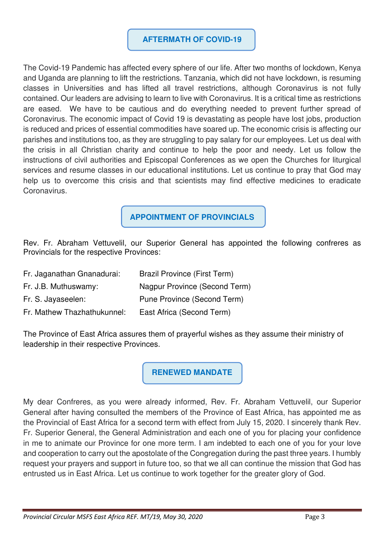## **AFTERMATH OF COVID-19**

The Covid-19 Pandemic has affected every sphere of our life. After two months of lockdown, Kenya and Uganda are planning to lift the restrictions. Tanzania, which did not have lockdown, is resuming classes in Universities and has lifted all travel restrictions, although Coronavirus is not fully contained. Our leaders are advising to learn to live with Coronavirus. It is a critical time as restrictions are eased. We have to be cautious and do everything needed to prevent further spread of Coronavirus. The economic impact of Covid 19 is devastating as people have lost jobs, production is reduced and prices of essential commodities have soared up. The economic crisis is affecting our parishes and institutions too, as they are struggling to pay salary for our employees. Let us deal with the crisis in all Christian charity and continue to help the poor and needy. Let us follow the instructions of civil authorities and Episcopal Conferences as we open the Churches for liturgical services and resume classes in our educational institutions. Let us continue to pray that God may help us to overcome this crisis and that scientists may find effective medicines to eradicate Coronavirus.

**APPOINTMENT OF PROVINCIALS** 

Rev. Fr. Abraham Vettuvelil, our Superior General has appointed the following confreres as Provincials for the respective Provinces:

| Fr. Jaganathan Gnanadurai:  | <b>Brazil Province (First Term)</b> |
|-----------------------------|-------------------------------------|
| Fr. J.B. Muthuswamy:        | Nagpur Province (Second Term)       |
| Fr. S. Jayaseelen:          | Pune Province (Second Term)         |
| Fr. Mathew Thazhathukunnel: | East Africa (Second Term)           |

The Province of East Africa assures them of prayerful wishes as they assume their ministry of leadership in their respective Provinces.

**RENEWED MANDATE** 

My dear Confreres, as you were already informed, Rev. Fr. Abraham Vettuvelil, our Superior General after having consulted the members of the Province of East Africa, has appointed me as the Provincial of East Africa for a second term with effect from July 15, 2020. I sincerely thank Rev. Fr. Superior General, the General Administration and each one of you for placing your confidence in me to animate our Province for one more term. I am indebted to each one of you for your love and cooperation to carry out the apostolate of the Congregation during the past three years. I humbly request your prayers and support in future too, so that we all can continue the mission that God has entrusted us in East Africa. Let us continue to work together for the greater glory of God.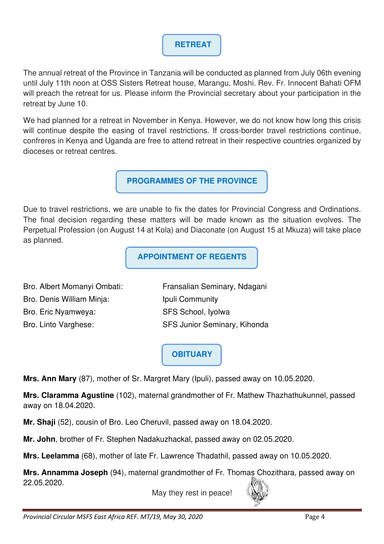## **RETREAT**

The annual retreat of the Province in Tanzania will be conducted as planned from July 06th evening until July 11th noon at OSS Sisters Retreat house, Marangu, Moshi. Rev. Fr. Innocent Bahati OFM will preach the retreat for us. Please inform the Provincial secretary about your participation in the retreat by June 10.

We had planned for a retreat in November in Kenya. However, we do not know how long this crisis will continue despite the easing of travel restrictions. If cross-border travel restrictions continue, confreres in Kenya and Uganda are free to attend retreat in their respective countries organized by dioceses or retreat centres.

**PROGRAMMES OF THE PROVINCE** 

Due to travel restrictions, we are unable to fix the dates for Provincial Congress and Ordinations. The final decision regarding these matters will be made known as the situation evolves. The Perpetual Profession (on August 14 at Kola) and Diaconate (on August 15 at Mkuza) will take place as planned.

**APPOINTMENT OF REGENTS** 

Bro. Albert Momanyi Ombati: Fransalian Seminary, Ndagani Bro. Denis William Minja: Ipuli Community Bro. Eric Nyamweya: SFS School, Iyolwa Bro. Linto Varghese: SFS Junior Seminary, Kihonda

**OBITUARY**

**Mrs. Ann Mary** (87), mother of Sr. Margret Mary (Ipuli), passed away on 10.05.2020.

**Mrs. Claramma Agustine** (102), maternal grandmother of Fr. Mathew Thazhathukunnel, passed away on 18.04.2020.

**Mr. Shaji** (52), cousin of Bro. Leo Cheruvil, passed away on 18.04.2020.

**Mr. John**, brother of Fr. Stephen Nadakuzhackal, passed away on 02.05.2020.

**Mrs. Leelamma** (68), mother of late Fr. Lawrence Thadathil, passed away on 10.05.2020.

**Mrs. Annamma Joseph** (94), maternal grandmother of Fr. Thomas Chozithara, passed away on 22.05.2020.

May they rest in peace!